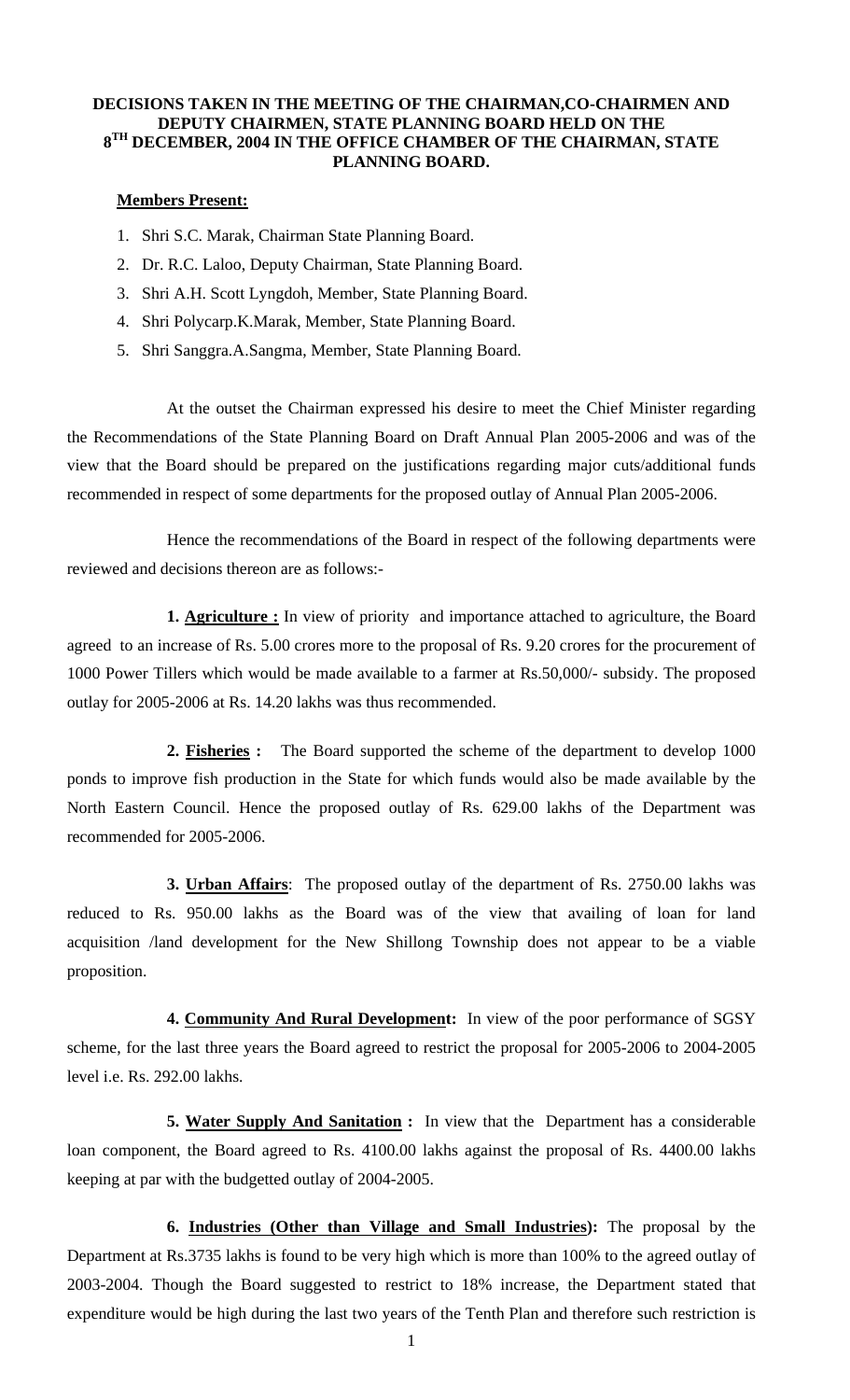## **DECISIONS TAKEN IN THE MEETING OF THE CHAIRMAN,CO-CHAIRMEN AND DEPUTY CHAIRMEN, STATE PLANNING BOARD HELD ON THE 8TH DECEMBER, 2004 IN THE OFFICE CHAMBER OF THE CHAIRMAN, STATE PLANNING BOARD.**

## **Members Present:**

- 1. Shri S.C. Marak, Chairman State Planning Board.
- 2. Dr. R.C. Laloo, Deputy Chairman, State Planning Board.
- 3. Shri A.H. Scott Lyngdoh, Member, State Planning Board.
- 4. Shri Polycarp.K.Marak, Member, State Planning Board.
- 5. Shri Sanggra.A.Sangma, Member, State Planning Board.

At the outset the Chairman expressed his desire to meet the Chief Minister regarding the Recommendations of the State Planning Board on Draft Annual Plan 2005-2006 and was of the view that the Board should be prepared on the justifications regarding major cuts/additional funds recommended in respect of some departments for the proposed outlay of Annual Plan 2005-2006.

 Hence the recommendations of the Board in respect of the following departments were reviewed and decisions thereon are as follows:-

**1. Agriculture :** In view of priority and importance attached to agriculture, the Board agreed to an increase of Rs. 5.00 crores more to the proposal of Rs. 9.20 crores for the procurement of 1000 Power Tillers which would be made available to a farmer at Rs.50,000/- subsidy. The proposed outlay for 2005-2006 at Rs. 14.20 lakhs was thus recommended.

 **2. Fisheries :** The Board supported the scheme of the department to develop 1000 ponds to improve fish production in the State for which funds would also be made available by the North Eastern Council. Hence the proposed outlay of Rs. 629.00 lakhs of the Department was recommended for 2005-2006.

 **3. Urban Affairs**: The proposed outlay of the department of Rs. 2750.00 lakhs was reduced to Rs. 950.00 lakhs as the Board was of the view that availing of loan for land acquisition /land development for the New Shillong Township does not appear to be a viable proposition.

 **4. Community And Rural Development:** In view of the poor performance of SGSY scheme, for the last three years the Board agreed to restrict the proposal for 2005-2006 to 2004-2005 level i.e. Rs. 292.00 lakhs.

 **5. Water Supply And Sanitation :** In view that the Department has a considerable loan component, the Board agreed to Rs. 4100.00 lakhs against the proposal of Rs. 4400.00 lakhs keeping at par with the budgetted outlay of 2004-2005.

**6. Industries (Other than Village and Small Industries):** The proposal by the Department at Rs.3735 lakhs is found to be very high which is more than 100% to the agreed outlay of 2003-2004. Though the Board suggested to restrict to 18% increase, the Department stated that expenditure would be high during the last two years of the Tenth Plan and therefore such restriction is